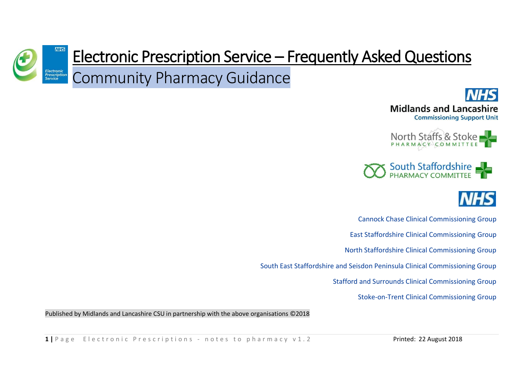









Cannock Chase Clinical Commissioning Group

East Staffordshire Clinical Commissioning Group

North Staffordshire Clinical Commissioning Group

South East Staffordshire and Seisdon Peninsula Clinical Commissioning Group

Stafford and Surrounds Clinical Commissioning Group

Stoke-on-Trent Clinical Commissioning Group

Published by Midlands and Lancashire CSU in partnership with the above organisations ©2018

**1 I** P a g e E lectronic P rescriptions - notes to pharmacy v 1.2 **Printed: 22 August 2018**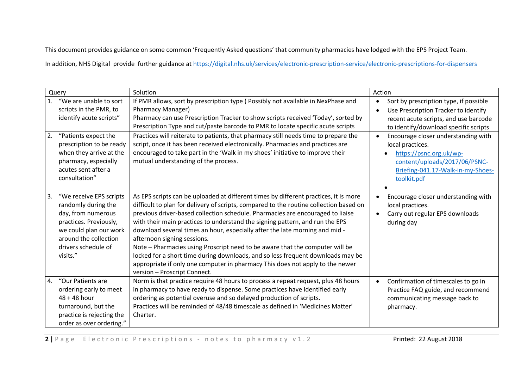This document provides guidance on some common 'Frequently Asked questions' that community pharmacies have lodged with the EPS Project Team.

In addition, NHS Digital provide further guidance at<https://digital.nhs.uk/services/electronic-prescription-service/electronic-prescriptions-for-dispensers>

| Query          |                                                                                                                                                                                      | Solution                                                                                                                                                                                                                                                                                                                                                                                                                                                                                                                                                                                                                                                                                                                                           | Action                                                                                                                                                                  |
|----------------|--------------------------------------------------------------------------------------------------------------------------------------------------------------------------------------|----------------------------------------------------------------------------------------------------------------------------------------------------------------------------------------------------------------------------------------------------------------------------------------------------------------------------------------------------------------------------------------------------------------------------------------------------------------------------------------------------------------------------------------------------------------------------------------------------------------------------------------------------------------------------------------------------------------------------------------------------|-------------------------------------------------------------------------------------------------------------------------------------------------------------------------|
| $\mathbf{1}$ . | "We are unable to sort<br>scripts in the PMR, to<br>identify acute scripts"                                                                                                          | If PMR allows, sort by prescription type (Possibly not available in NexPhase and<br><b>Pharmacy Manager)</b><br>Pharmacy can use Prescription Tracker to show scripts received 'Today', sorted by<br>Prescription Type and cut/paste barcode to PMR to locate specific acute scripts                                                                                                                                                                                                                                                                                                                                                                                                                                                               | Sort by prescription type, if possible<br>Use Prescription Tracker to identify<br>recent acute scripts, and use barcode<br>to identify/download specific scripts        |
| 2.             | "Patients expect the<br>prescription to be ready<br>when they arrive at the<br>pharmacy, especially<br>acutes sent after a<br>consultation"                                          | Practices will reiterate to patients, that pharmacy still needs time to prepare the<br>script, once it has been received electronically. Pharmacies and practices are<br>encouraged to take part in the 'Walk in my shoes' initiative to improve their<br>mutual understanding of the process.                                                                                                                                                                                                                                                                                                                                                                                                                                                     | Encourage closer understanding with<br>local practices.<br>https://psnc.org.uk/wp-<br>content/uploads/2017/06/PSNC-<br>Briefing-041.17-Walk-in-my-Shoes-<br>toolkit.pdf |
| 3.             | "We receive EPS scripts<br>randomly during the<br>day, from numerous<br>practices. Previously,<br>we could plan our work<br>around the collection<br>drivers schedule of<br>visits." | As EPS scripts can be uploaded at different times by different practices, it is more<br>difficult to plan for delivery of scripts, compared to the routine collection based on<br>previous driver-based collection schedule. Pharmacies are encouraged to liaise<br>with their main practices to understand the signing pattern, and run the EPS<br>download several times an hour, especially after the late morning and mid -<br>afternoon signing sessions.<br>Note – Pharmacies using Proscript need to be aware that the computer will be<br>locked for a short time during downloads, and so less frequent downloads may be<br>appropriate if only one computer in pharmacy This does not apply to the newer<br>version - Proscript Connect. | Encourage closer understanding with<br>local practices.<br>Carry out regular EPS downloads<br>during day                                                                |
| 4.             | "Our Patients are<br>ordering early to meet<br>$48 + 48$ hour<br>turnaround, but the<br>practice is rejecting the<br>order as over ordering."                                        | Norm is that practice require 48 hours to process a repeat request, plus 48 hours<br>in pharmacy to have ready to dispense. Some practices have identified early<br>ordering as potential overuse and so delayed production of scripts.<br>Practices will be reminded of 48/48 timescale as defined in 'Medicines Matter'<br>Charter.                                                                                                                                                                                                                                                                                                                                                                                                              | Confirmation of timescales to go in<br>Practice FAQ guide, and recommend<br>communicating message back to<br>pharmacy.                                                  |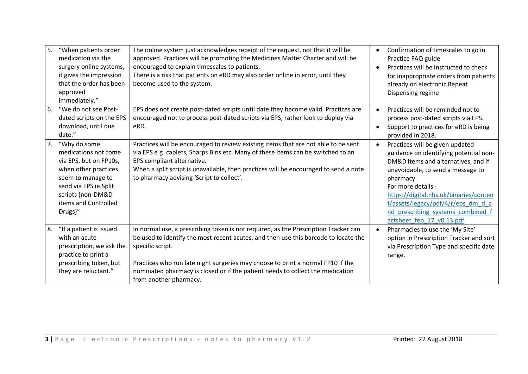| 5. | "When patients order<br>medication via the<br>surgery online systems,<br>it gives the impression<br>that the order has been<br>approved<br>immediately."                                     | The online system just acknowledges receipt of the request, not that it will be<br>approved. Practices will be promoting the Medicines Matter Charter and will be<br>encouraged to explain timescales to patients.<br>There is a risk that patients on eRD may also order online in error, until they<br>become used to the system.                                                           | Confirmation of timescales to go in<br>$\bullet$<br>Practice FAQ guide<br>Practices will be instructed to check<br>$\bullet$<br>for inappropriate orders from patients<br>already on electronic Repeat<br>Dispensing regime                                                                                                                |
|----|----------------------------------------------------------------------------------------------------------------------------------------------------------------------------------------------|-----------------------------------------------------------------------------------------------------------------------------------------------------------------------------------------------------------------------------------------------------------------------------------------------------------------------------------------------------------------------------------------------|--------------------------------------------------------------------------------------------------------------------------------------------------------------------------------------------------------------------------------------------------------------------------------------------------------------------------------------------|
| 6. | "We do not see Post-<br>dated scripts on the EPS<br>download, until due<br>date."                                                                                                            | EPS does not create post-dated scripts until date they become valid. Practices are<br>encouraged not to process post-dated scripts via EPS, rather look to deploy via<br>eRD.                                                                                                                                                                                                                 | Practices will be reminded not to<br>process post-dated scripts via EPS.<br>Support to practices for eRD is being<br>provided in 2018.                                                                                                                                                                                                     |
| 7. | "Why do some<br>medications not come<br>via EPS, but on FP10s,<br>when other practices<br>seem to manage to<br>send via EPS ie.Split<br>scripts (non-DM&D<br>items and Controlled<br>Drugs)" | Practices will be encouraged to review existing items that are not able to be sent<br>via EPS e.g. caplets, Sharps Bins etc. Many of these items can be switched to an<br>EPS compliant alternative.<br>When a split script is unavailable, then practices will be encouraged to send a note<br>to pharmacy advising 'Script to collect'.                                                     | Practices will be given updated<br>guidance on identifying potential non-<br>DM&D items and alternatives, and if<br>unavoidable, to send a message to<br>pharmacy.<br>For more details -<br>https://digital.nhs.uk/binaries/conten<br>t/assets/legacy/pdf/4/r/eps_dm_d_a<br>nd prescribing systems combined f<br>actsheet_feb_17_v0.13.pdf |
| 8. | "If a patient is issued<br>with an acute<br>prescription, we ask the<br>practice to print a<br>prescribing token, but<br>they are reluctant."                                                | In normal use, a prescribing token is not required, as the Prescription Tracker can<br>be used to identify the most recent acutes, and then use this barcode to locate the<br>specific script.<br>Practices who run late night surgeries may choose to print a normal FP10 if the<br>nominated pharmacy is closed or if the patient needs to collect the medication<br>from another pharmacy. | Pharmacies to use the 'My Site'<br>option in Prescription Tracker and sort<br>via Prescription Type and specific date<br>range.                                                                                                                                                                                                            |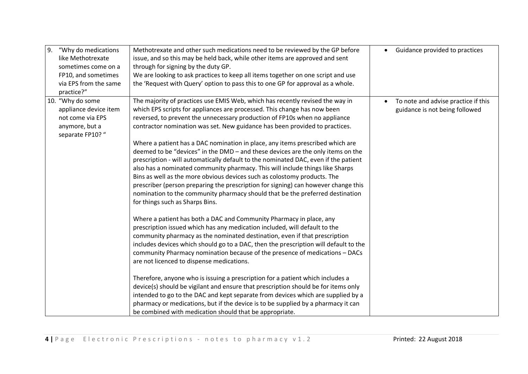| 9. | "Why do medications<br>like Methotrexate<br>sometimes come on a<br>FP10, and sometimes<br>via EPS from the same<br>practice?" | Methotrexate and other such medications need to be reviewed by the GP before<br>issue, and so this may be held back, while other items are approved and sent<br>through for signing by the duty GP.<br>We are looking to ask practices to keep all items together on one script and use<br>the 'Request with Query' option to pass this to one GP for approval as a whole.                                                                                                                                                                                                                                                                                                                                                                                                                                                                                                                                                                                                                                                                                                                                                                                                                                                                                                                                                                                                                                                                                                                                                                                                                                                                                                                                                                                                                                                  | Guidance provided to practices                                        |
|----|-------------------------------------------------------------------------------------------------------------------------------|-----------------------------------------------------------------------------------------------------------------------------------------------------------------------------------------------------------------------------------------------------------------------------------------------------------------------------------------------------------------------------------------------------------------------------------------------------------------------------------------------------------------------------------------------------------------------------------------------------------------------------------------------------------------------------------------------------------------------------------------------------------------------------------------------------------------------------------------------------------------------------------------------------------------------------------------------------------------------------------------------------------------------------------------------------------------------------------------------------------------------------------------------------------------------------------------------------------------------------------------------------------------------------------------------------------------------------------------------------------------------------------------------------------------------------------------------------------------------------------------------------------------------------------------------------------------------------------------------------------------------------------------------------------------------------------------------------------------------------------------------------------------------------------------------------------------------------|-----------------------------------------------------------------------|
|    | 10. "Why do some<br>appliance device item<br>not come via EPS<br>anymore, but a<br>separate FP10? "                           | The majority of practices use EMIS Web, which has recently revised the way in<br>which EPS scripts for appliances are processed. This change has now been<br>reversed, to prevent the unnecessary production of FP10s when no appliance<br>contractor nomination was set. New guidance has been provided to practices.<br>Where a patient has a DAC nomination in place, any items prescribed which are<br>deemed to be "devices" in the DMD - and these devices are the only items on the<br>prescription - will automatically default to the nominated DAC, even if the patient<br>also has a nominated community pharmacy. This will include things like Sharps<br>Bins as well as the more obvious devices such as colostomy products. The<br>prescriber (person preparing the prescription for signing) can however change this<br>nomination to the community pharmacy should that be the preferred destination<br>for things such as Sharps Bins.<br>Where a patient has both a DAC and Community Pharmacy in place, any<br>prescription issued which has any medication included, will default to the<br>community pharmacy as the nominated destination, even if that prescription<br>includes devices which should go to a DAC, then the prescription will default to the<br>community Pharmacy nomination because of the presence of medications - DACs<br>are not licenced to dispense medications.<br>Therefore, anyone who is issuing a prescription for a patient which includes a<br>device(s) should be vigilant and ensure that prescription should be for items only<br>intended to go to the DAC and kept separate from devices which are supplied by a<br>pharmacy or medications, but if the device is to be supplied by a pharmacy it can<br>be combined with medication should that be appropriate. | To note and advise practice if this<br>guidance is not being followed |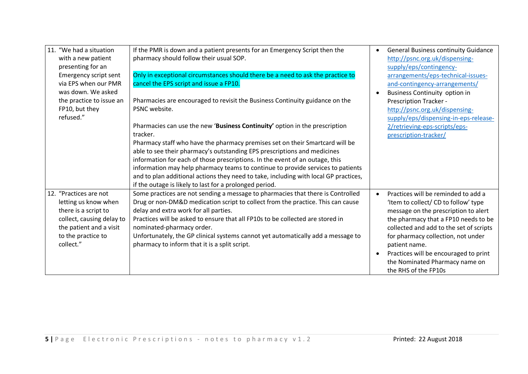| 11. "We had a situation<br>with a new patient | If the PMR is down and a patient presents for an Emergency Script then the<br>pharmacy should follow their usual SOP. | <b>General Business continuity Guidance</b><br>http://psnc.org.uk/dispensing- |
|-----------------------------------------------|-----------------------------------------------------------------------------------------------------------------------|-------------------------------------------------------------------------------|
| presenting for an                             |                                                                                                                       | supply/eps/contingency-                                                       |
| Emergency script sent                         | Only in exceptional circumstances should there be a need to ask the practice to                                       | arrangements/eps-technical-issues-                                            |
| via EPS when our PMR                          | cancel the EPS script and issue a FP10.                                                                               | and-contingency-arrangements/                                                 |
| was down. We asked                            |                                                                                                                       | <b>Business Continuity option in</b>                                          |
| the practice to issue an                      | Pharmacies are encouraged to revisit the Business Continuity guidance on the                                          | Prescription Tracker -                                                        |
| FP10, but they                                | PSNC website.                                                                                                         | http://psnc.org.uk/dispensing-                                                |
| refused."                                     |                                                                                                                       | supply/eps/dispensing-in-eps-release-                                         |
|                                               | Pharmacies can use the new 'Business Continuity' option in the prescription<br>tracker.                               | 2/retrieving-eps-scripts/eps-                                                 |
|                                               | Pharmacy staff who have the pharmacy premises set on their Smartcard will be                                          | prescription-tracker/                                                         |
|                                               | able to see their pharmacy's outstanding EPS prescriptions and medicines                                              |                                                                               |
|                                               | information for each of those prescriptions. In the event of an outage, this                                          |                                                                               |
|                                               | information may help pharmacy teams to continue to provide services to patients                                       |                                                                               |
|                                               | and to plan additional actions they need to take, including with local GP practices,                                  |                                                                               |
|                                               | if the outage is likely to last for a prolonged period.                                                               |                                                                               |
| 12. "Practices are not                        | Some practices are not sending a message to pharmacies that there is Controlled                                       | Practices will be reminded to add a                                           |
| letting us know when                          | Drug or non-DM&D medication script to collect from the practice. This can cause                                       | 'Item to collect/ CD to follow' type                                          |
| there is a script to                          | delay and extra work for all parties.                                                                                 | message on the prescription to alert                                          |
| collect, causing delay to                     | Practices will be asked to ensure that all FP10s to be collected are stored in                                        | the pharmacy that a FP10 needs to be                                          |
| the patient and a visit                       | nominated-pharmacy order.                                                                                             | collected and add to the set of scripts                                       |
| to the practice to                            | Unfortunately, the GP clinical systems cannot yet automatically add a message to                                      | for pharmacy collection, not under                                            |
| collect."                                     | pharmacy to inform that it is a split script.                                                                         | patient name.                                                                 |
|                                               |                                                                                                                       | Practices will be encouraged to print                                         |
|                                               |                                                                                                                       | the Nominated Pharmacy name on                                                |
|                                               |                                                                                                                       | the RHS of the FP10s                                                          |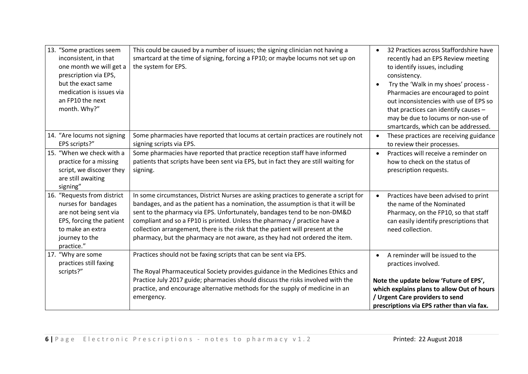| 13. "Some practices seem<br>inconsistent, in that<br>one month we will get a<br>prescription via EPS,<br>but the exact same<br>medication is issues via<br>an FP10 the next<br>month. Why?" | This could be caused by a number of issues; the signing clinician not having a<br>smartcard at the time of signing, forcing a FP10; or maybe locums not set up on<br>the system for EPS.                                                                                                                                                                                                                                                                                                            | 32 Practices across Staffordshire have<br>$\bullet$<br>recently had an EPS Review meeting<br>to identify issues, including<br>consistency.<br>Try the 'Walk in my shoes' process -<br>Pharmacies are encouraged to point<br>out inconsistencies with use of EPS so<br>that practices can identify causes -<br>may be due to locums or non-use of<br>smartcards, which can be addressed. |
|---------------------------------------------------------------------------------------------------------------------------------------------------------------------------------------------|-----------------------------------------------------------------------------------------------------------------------------------------------------------------------------------------------------------------------------------------------------------------------------------------------------------------------------------------------------------------------------------------------------------------------------------------------------------------------------------------------------|-----------------------------------------------------------------------------------------------------------------------------------------------------------------------------------------------------------------------------------------------------------------------------------------------------------------------------------------------------------------------------------------|
| 14. "Are locums not signing<br>EPS scripts?"                                                                                                                                                | Some pharmacies have reported that locums at certain practices are routinely not<br>signing scripts via EPS.                                                                                                                                                                                                                                                                                                                                                                                        | These practices are receiving guidance<br>$\bullet$<br>to review their processes.                                                                                                                                                                                                                                                                                                       |
| 15. "When we check with a<br>practice for a missing<br>script, we discover they<br>are still awaiting<br>signing"                                                                           | Some pharmacies have reported that practice reception staff have informed<br>patients that scripts have been sent via EPS, but in fact they are still waiting for<br>signing.                                                                                                                                                                                                                                                                                                                       | Practices will receive a reminder on<br>$\bullet$<br>how to check on the status of<br>prescription requests.                                                                                                                                                                                                                                                                            |
| 16. "Requests from district<br>nurses for bandages<br>are not being sent via<br>EPS, forcing the patient<br>to make an extra<br>journey to the<br>practice."                                | In some circumstances, District Nurses are asking practices to generate a script for<br>bandages, and as the patient has a nomination, the assumption is that it will be<br>sent to the pharmacy via EPS. Unfortunately, bandages tend to be non-DM&D<br>compliant and so a FP10 is printed. Unless the pharmacy / practice have a<br>collection arrangement, there is the risk that the patient will present at the<br>pharmacy, but the pharmacy are not aware, as they had not ordered the item. | Practices have been advised to print<br>the name of the Nominated<br>Pharmacy, on the FP10, so that staff<br>can easily identify prescriptions that<br>need collection.                                                                                                                                                                                                                 |
| 17. "Why are some<br>practices still faxing<br>scripts?"                                                                                                                                    | Practices should not be faxing scripts that can be sent via EPS.<br>The Royal Pharmaceutical Society provides guidance in the Medicines Ethics and<br>Practice July 2017 guide; pharmacies should discuss the risks involved with the<br>practice, and encourage alternative methods for the supply of medicine in an<br>emergency.                                                                                                                                                                 | A reminder will be issued to the<br>practices involved.<br>Note the update below 'Future of EPS',<br>which explains plans to allow Out of hours<br>/ Urgent Care providers to send<br>prescriptions via EPS rather than via fax.                                                                                                                                                        |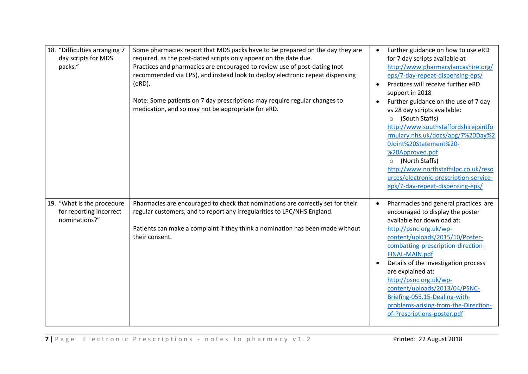| 18. "Difficulties arranging 7<br>day scripts for MDS<br>packs."        | Some pharmacies report that MDS packs have to be prepared on the day they are<br>required, as the post-dated scripts only appear on the date due.<br>Practices and pharmacies are encouraged to review use of post-dating (not<br>recommended via EPS), and instead look to deploy electronic repeat dispensing<br>$(eRD)$ .<br>Note: Some patients on 7 day prescriptions may require regular changes to<br>medication, and so may not be appropriate for eRD. | Further guidance on how to use eRD<br>for 7 day scripts available at<br>http://www.pharmacylancashire.org/<br>eps/7-day-repeat-dispensing-eps/<br>Practices will receive further eRD<br>support in 2018<br>Further guidance on the use of 7 day<br>vs 28 day scripts available:<br>(South Staffs)<br>$\circ$<br>http://www.southstaffordshirejointfo<br>rmulary.nhs.uk/docs/apg/7%20Day%2<br>0Joint%20Statement%20-<br>%20Approved.pdf<br>(North Staffs)<br>$\circ$<br>http://www.northstaffslpc.co.uk/reso<br>urces/electronic-prescription-service-<br>eps/7-day-repeat-dispensing-eps/ |
|------------------------------------------------------------------------|-----------------------------------------------------------------------------------------------------------------------------------------------------------------------------------------------------------------------------------------------------------------------------------------------------------------------------------------------------------------------------------------------------------------------------------------------------------------|-------------------------------------------------------------------------------------------------------------------------------------------------------------------------------------------------------------------------------------------------------------------------------------------------------------------------------------------------------------------------------------------------------------------------------------------------------------------------------------------------------------------------------------------------------------------------------------------|
| 19. "What is the procedure<br>for reporting incorrect<br>nominations?" | Pharmacies are encouraged to check that nominations are correctly set for their<br>regular customers, and to report any irregularities to LPC/NHS England.<br>Patients can make a complaint if they think a nomination has been made without<br>their consent.                                                                                                                                                                                                  | Pharmacies and general practices are<br>encouraged to display the poster<br>available for download at:<br>http://psnc.org.uk/wp-<br>content/uploads/2015/10/Poster-<br>combatting-prescription-direction-<br>FINAL-MAIN.pdf<br>Details of the investigation process<br>are explained at:<br>http://psnc.org.uk/wp-<br>content/uploads/2013/04/PSNC-<br>Briefing-055.15-Dealing-with-<br>problems-arising-from-the-Direction-<br>of-Prescriptions-poster.pdf                                                                                                                               |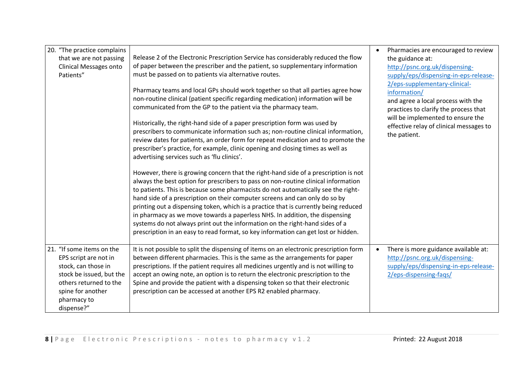| 20. "The practice complains<br>that we are not passing<br><b>Clinical Messages onto</b><br>Patients"                                                                              | Release 2 of the Electronic Prescription Service has considerably reduced the flow<br>of paper between the prescriber and the patient, so supplementary information<br>must be passed on to patients via alternative routes.<br>Pharmacy teams and local GPs should work together so that all parties agree how<br>non-routine clinical (patient specific regarding medication) information will be<br>communicated from the GP to the patient via the pharmacy team.<br>Historically, the right-hand side of a paper prescription form was used by<br>prescribers to communicate information such as; non-routine clinical information,<br>review dates for patients, an order form for repeat medication and to promote the<br>prescriber's practice, for example, clinic opening and closing times as well as<br>advertising services such as 'flu clinics'.<br>However, there is growing concern that the right-hand side of a prescription is not<br>always the best option for prescribers to pass on non-routine clinical information<br>to patients. This is because some pharmacists do not automatically see the right-<br>hand side of a prescription on their computer screens and can only do so by<br>printing out a dispensing token, which is a practice that is currently being reduced<br>in pharmacy as we move towards a paperless NHS. In addition, the dispensing<br>systems do not always print out the information on the right-hand sides of a<br>prescription in an easy to read format, so key information can get lost or hidden. | Pharmacies are encouraged to review<br>$\bullet$<br>the guidance at:<br>http://psnc.org.uk/dispensing-<br>supply/eps/dispensing-in-eps-release-<br>2/eps-supplementary-clinical-<br>information/<br>and agree a local process with the<br>practices to clarify the process that<br>will be implemented to ensure the<br>effective relay of clinical messages to<br>the patient. |
|-----------------------------------------------------------------------------------------------------------------------------------------------------------------------------------|---------------------------------------------------------------------------------------------------------------------------------------------------------------------------------------------------------------------------------------------------------------------------------------------------------------------------------------------------------------------------------------------------------------------------------------------------------------------------------------------------------------------------------------------------------------------------------------------------------------------------------------------------------------------------------------------------------------------------------------------------------------------------------------------------------------------------------------------------------------------------------------------------------------------------------------------------------------------------------------------------------------------------------------------------------------------------------------------------------------------------------------------------------------------------------------------------------------------------------------------------------------------------------------------------------------------------------------------------------------------------------------------------------------------------------------------------------------------------------------------------------------------------------------------------------------|---------------------------------------------------------------------------------------------------------------------------------------------------------------------------------------------------------------------------------------------------------------------------------------------------------------------------------------------------------------------------------|
| 21. "If some items on the<br>EPS script are not in<br>stock, can those in<br>stock be issued, but the<br>others returned to the<br>spine for another<br>pharmacy to<br>dispense?" | It is not possible to split the dispensing of items on an electronic prescription form<br>between different pharmacies. This is the same as the arrangements for paper<br>prescriptions. If the patient requires all medicines urgently and is not willing to<br>accept an owing note, an option is to return the electronic prescription to the<br>Spine and provide the patient with a dispensing token so that their electronic<br>prescription can be accessed at another EPS R2 enabled pharmacy.                                                                                                                                                                                                                                                                                                                                                                                                                                                                                                                                                                                                                                                                                                                                                                                                                                                                                                                                                                                                                                                        | There is more guidance available at:<br>$\bullet$<br>http://psnc.org.uk/dispensing-<br>supply/eps/dispensing-in-eps-release-<br>2/eps-dispensing-faqs/                                                                                                                                                                                                                          |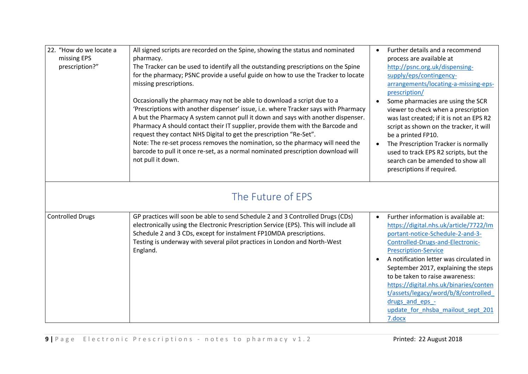| 22. "How do we locate a<br>missing EPS<br>prescription?" | All signed scripts are recorded on the Spine, showing the status and nominated<br>pharmacy.<br>The Tracker can be used to identify all the outstanding prescriptions on the Spine<br>for the pharmacy; PSNC provide a useful guide on how to use the Tracker to locate<br>missing prescriptions.<br>Occasionally the pharmacy may not be able to download a script due to a<br>'Prescriptions with another dispenser' issue, i.e. where Tracker says with Pharmacy<br>A but the Pharmacy A system cannot pull it down and says with another dispenser.<br>Pharmacy A should contact their IT supplier, provide them with the Barcode and<br>request they contact NHS Digital to get the prescription "Re-Set".<br>Note: The re-set process removes the nomination, so the pharmacy will need the<br>barcode to pull it once re-set, as a normal nominated prescription download will<br>not pull it down. | Further details and a recommend<br>process are available at<br>http://psnc.org.uk/dispensing-<br>supply/eps/contingency-<br>arrangements/locating-a-missing-eps-<br>prescription/<br>Some pharmacies are using the SCR<br>viewer to check when a prescription<br>was last created; if it is not an EPS R2<br>script as shown on the tracker, it will<br>be a printed FP10.<br>The Prescription Tracker is normally<br>used to track EPS R2 scripts, but the<br>search can be amended to show all<br>prescriptions if required. |
|----------------------------------------------------------|-----------------------------------------------------------------------------------------------------------------------------------------------------------------------------------------------------------------------------------------------------------------------------------------------------------------------------------------------------------------------------------------------------------------------------------------------------------------------------------------------------------------------------------------------------------------------------------------------------------------------------------------------------------------------------------------------------------------------------------------------------------------------------------------------------------------------------------------------------------------------------------------------------------|--------------------------------------------------------------------------------------------------------------------------------------------------------------------------------------------------------------------------------------------------------------------------------------------------------------------------------------------------------------------------------------------------------------------------------------------------------------------------------------------------------------------------------|
| <b>Controlled Drugs</b>                                  | The Future of EPS<br>GP practices will soon be able to send Schedule 2 and 3 Controlled Drugs (CDs)<br>electronically using the Electronic Prescription Service (EPS). This will include all<br>Schedule 2 and 3 CDs, except for instalment FP10MDA prescriptions.<br>Testing is underway with several pilot practices in London and North-West<br>England.                                                                                                                                                                                                                                                                                                                                                                                                                                                                                                                                               | Further information is available at:<br>$\bullet$<br>https://digital.nhs.uk/article/7722/Im<br>portant-notice-Schedule-2-and-3-<br>Controlled-Drugs-and-Electronic-<br><b>Prescription-Service</b><br>A notification letter was circulated in<br>September 2017, explaining the steps<br>to be taken to raise awareness:<br>https://digital.nhs.uk/binaries/conten<br>t/assets/legacy/word/b/8/controlled<br>drugs and eps -<br>update for nhsba mailout sept 201                                                              |